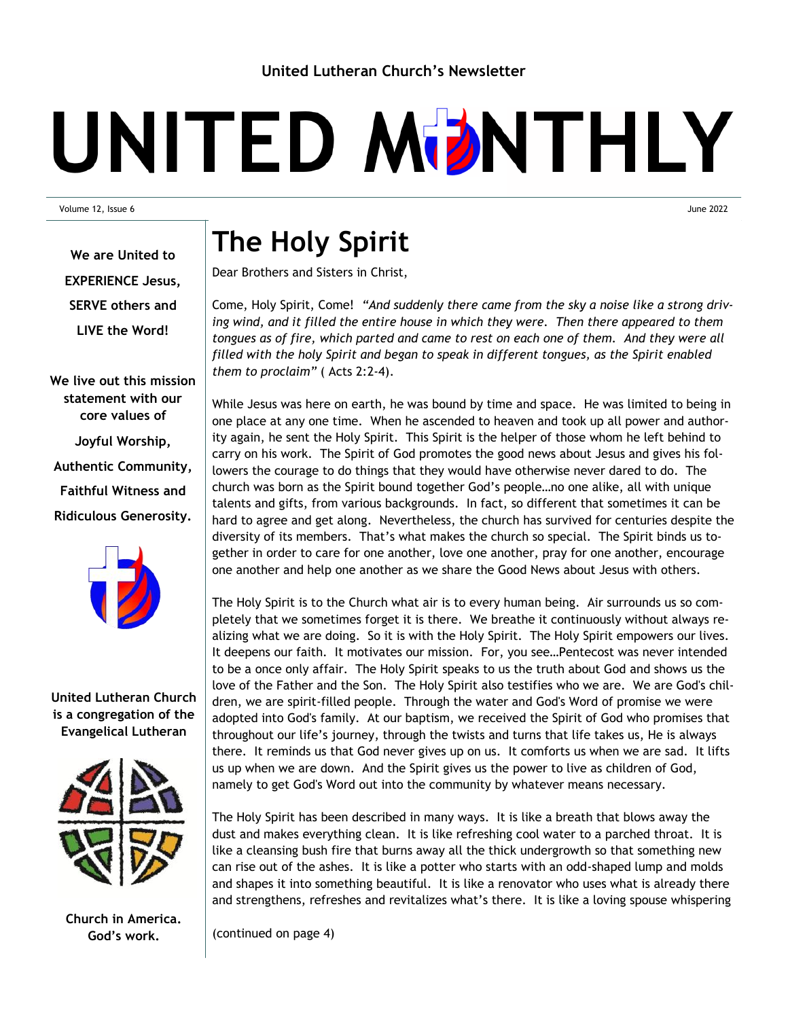## UNITED MDNTHLY

Volume 12, Issue 6 June 2022

**The Holy Spirit**

Dear Brothers and Sisters in Christ,

Come, Holy Spirit, Come! *"And suddenly there came from the sky a noise like a strong driving wind, and it filled the entire house in which they were. Then there appeared to them tongues as of fire, which parted and came to rest on each one of them. And they were all filled with the holy Spirit and began to speak in different tongues, as the Spirit enabled them to proclaim"* ( [Acts 2:2-4\).](http://usccb.org/bible/readings/bible/acts/2/2)

While Jesus was here on earth, he was bound by time and space. He was limited to being in one place at any one time. When he ascended to heaven and took up all power and authority again, he sent the Holy Spirit. This Spirit is the helper of those whom he left behind to carry on his work. The Spirit of God promotes the good news about Jesus and gives his followers the courage to do things that they would have otherwise never dared to do. The church was born as the Spirit bound together God's people…no one alike, all with unique talents and gifts, from various backgrounds. In fact, so different that sometimes it can be hard to agree and get along. Nevertheless, the church has survived for centuries despite the diversity of its members. That's what makes the church so special. The Spirit binds us together in order to care for one another, love one another, pray for one another, encourage one another and help one another as we share the Good News about Jesus with others.

The Holy Spirit is to the Church what air is to every human being. Air surrounds us so completely that we sometimes forget it is there. We breathe it continuously without always realizing what we are doing. So it is with the Holy Spirit. The Holy Spirit empowers our lives. It deepens our faith. It motivates our mission. For, you see…Pentecost was never intended to be a once only affair. The Holy Spirit speaks to us the truth about God and shows us the love of the Father and the Son. The Holy Spirit also testifies who we are. We are God's children, we are spirit-filled people. Through the water and God's Word of promise we were adopted into God's family. At our baptism, we received the Spirit of God who promises that throughout our life's journey, through the twists and turns that life takes us, He is always there. It reminds us that God never gives up on us. It comforts us when we are sad. It lifts us up when we are down. And the Spirit gives us the power to live as children of God, namely to get God's Word out into the community by whatever means necessary.

The Holy Spirit has been described in many ways. It is like a breath that blows away the dust and makes everything clean. It is like refreshing cool water to a parched throat. It is like a cleansing bush fire that burns away all the thick undergrowth so that something new can rise out of the ashes. It is like a potter who starts with an odd-shaped lump and molds and shapes it into something beautiful. It is like a renovator who uses what is already there and strengthens, refreshes and revitalizes what's there. It is like a loving spouse whispering

(continued on page 4)

**We are United to EXPERIENCE Jesus, SERVE others and LIVE the Word!**

**We live out this mission statement with our core values of Joyful Worship, Authentic Community, Faithful Witness and Ridiculous Generosity.**



**United Lutheran Church is a congregation of the Evangelical Lutheran** 



**Church in America. God's work.**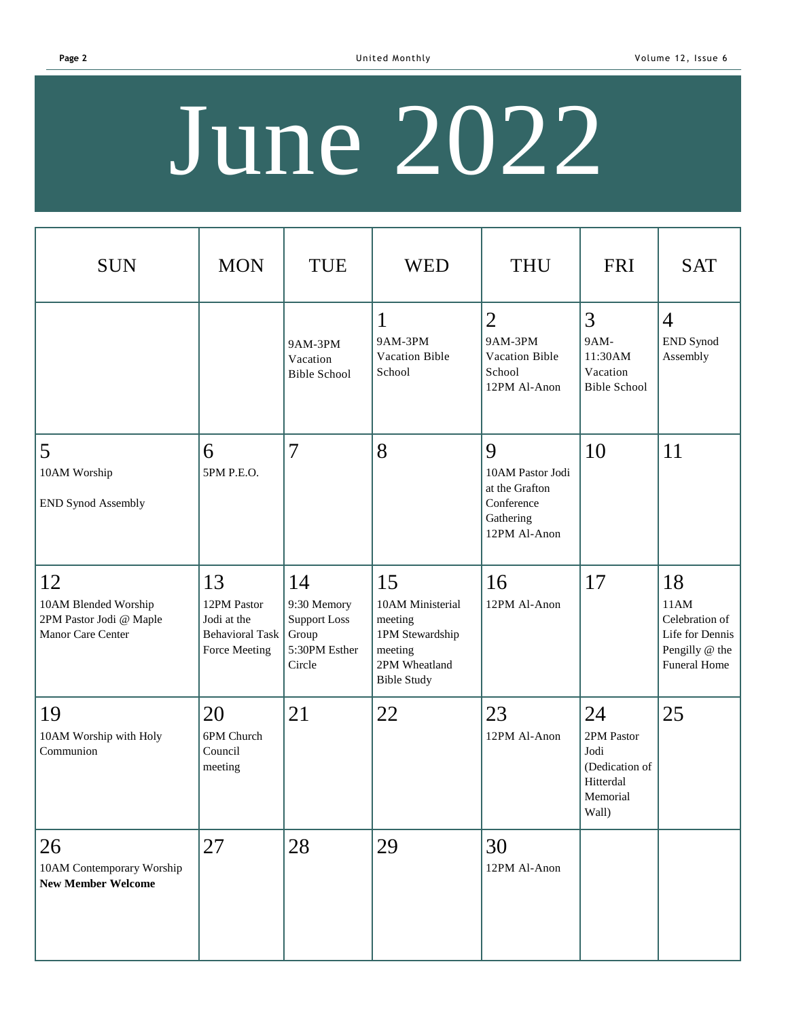# June 2022

| <b>SUN</b>                                                                 | <b>MON</b>                                                                  | <b>TUE</b>                                                                   | <b>WED</b>                                                                                             | <b>THU</b>                                                                         | <b>FRI</b>                                                                   | <b>SAT</b>                                                                        |
|----------------------------------------------------------------------------|-----------------------------------------------------------------------------|------------------------------------------------------------------------------|--------------------------------------------------------------------------------------------------------|------------------------------------------------------------------------------------|------------------------------------------------------------------------------|-----------------------------------------------------------------------------------|
|                                                                            |                                                                             | 9AM-3PM<br>Vacation<br><b>Bible School</b>                                   | $\mathbf{1}$<br>9AM-3PM<br>Vacation Bible<br>School                                                    | $\overline{2}$<br>9AM-3PM<br>Vacation Bible<br>School<br>12PM Al-Anon              | 3<br>9AM-<br>11:30AM<br>Vacation<br><b>Bible School</b>                      | $\overline{4}$<br>END Synod<br>Assembly                                           |
| 5<br>10AM Worship<br><b>END Synod Assembly</b>                             | 6<br>5PM P.E.O.                                                             | $\overline{7}$                                                               | 8                                                                                                      | 9<br>10AM Pastor Jodi<br>at the Grafton<br>Conference<br>Gathering<br>12PM Al-Anon | 10                                                                           | 11                                                                                |
| 12<br>10AM Blended Worship<br>2PM Pastor Jodi @ Maple<br>Manor Care Center | 13<br>12PM Pastor<br>Jodi at the<br><b>Behavioral Task</b><br>Force Meeting | 14<br>9:30 Memory<br><b>Support Loss</b><br>Group<br>5:30PM Esther<br>Circle | 15<br>10AM Ministerial<br>meeting<br>1PM Stewardship<br>meeting<br>2PM Wheatland<br><b>Bible Study</b> | 16<br>12PM Al-Anon                                                                 | 17                                                                           | 18<br>11AM<br>Celebration of<br>Life for Dennis<br>Pengilly @ the<br>Funeral Home |
| 19<br>10AM Worship with Holy<br>Communion                                  | 20<br>6PM Church<br>Council<br>meeting                                      | 21                                                                           | 22                                                                                                     | 23<br>12PM Al-Anon                                                                 | 24<br>2PM Pastor<br>Jodi<br>(Dedication of<br>Hitterdal<br>Memorial<br>Wall) | 25                                                                                |
| 26<br>10AM Contemporary Worship<br><b>New Member Welcome</b>               | 27                                                                          | 28                                                                           | 29                                                                                                     | 30<br>12PM Al-Anon                                                                 |                                                                              |                                                                                   |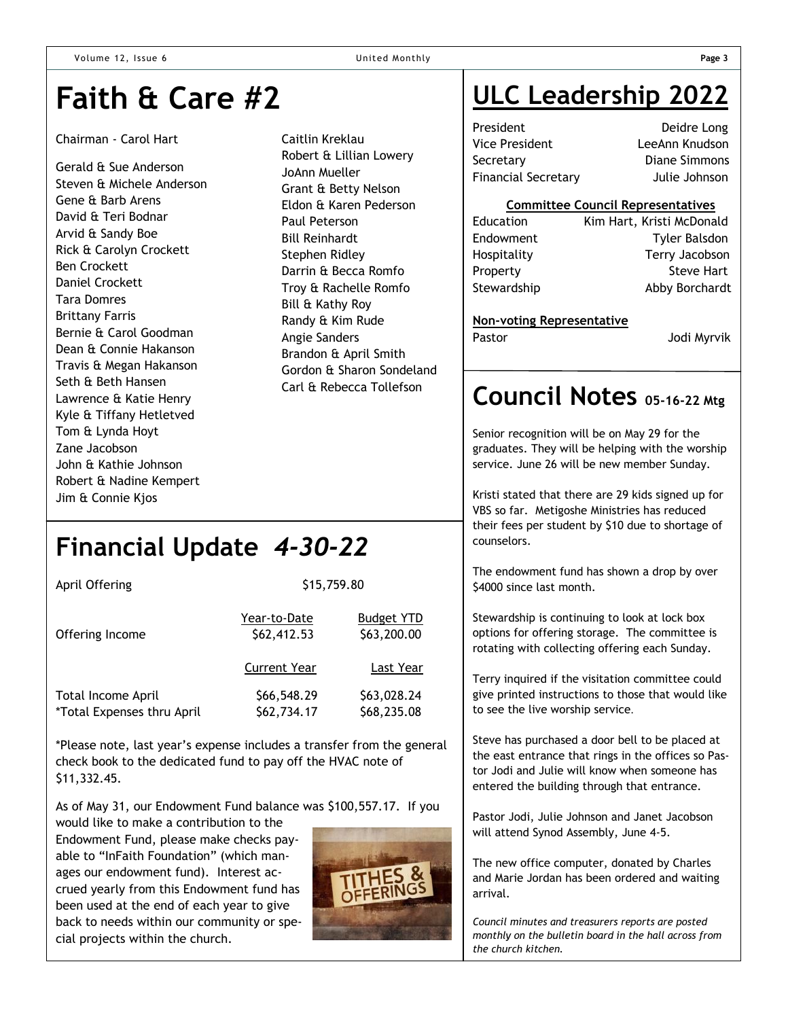## **Faith & Care #2**

#### Chairman - Carol Hart

Gerald & Sue Anderson Steven & Michele Anderson Gene & Barb Arens David & Teri Bodnar Arvid & Sandy Boe Rick & Carolyn Crockett Ben Crockett Daniel Crockett Tara Domres Brittany Farris Bernie & Carol Goodman Dean & Connie Hakanson Travis & Megan Hakanson Seth & Beth Hansen Lawrence & Katie Henry Kyle & Tiffany Hetletved Tom & Lynda Hoyt Zane Jacobson John & Kathie Johnson Robert & Nadine Kempert Jim & Connie Kjos

Caitlin Kreklau Robert & Lillian Lowery JoAnn Mueller Grant & Betty Nelson Eldon & Karen Pederson Paul Peterson Bill Reinhardt Stephen Ridley Darrin & Becca Romfo Troy & Rachelle Romfo Bill & Kathy Roy Randy & Kim Rude Angie Sanders Brandon & April Smith Gordon & Sharon Sondeland Carl & Rebecca Tollefson

## **Financial Update** *4-30-22*

| April Offering                                   | \$15,759.80                 |                                  |  |  |
|--------------------------------------------------|-----------------------------|----------------------------------|--|--|
| Offering Income                                  | Year-to-Date<br>\$62,412.53 | <b>Budget YTD</b><br>\$63,200.00 |  |  |
|                                                  | <b>Current Year</b>         | Last Year                        |  |  |
| Total Income April<br>*Total Expenses thru April | \$66,548.29<br>\$62,734.17  | \$63,028.24<br>\$68,235.08       |  |  |

\*Please note, last year's expense includes a transfer from the general check book to the dedicated fund to pay off the HVAC note of \$11,332.45.

As of May 31, our Endowment Fund balance was \$100,557.17. If you

would like to make a contribution to the Endowment Fund, please make checks payable to "InFaith Foundation" (which manages our endowment fund). Interest accrued yearly from this Endowment fund has been used at the end of each year to give back to needs within our community or special projects within the church.



## **ULC Leadership 2022**

President Deidre Long Vice President LeeAnn Knudson Secretary Diane Simmons Financial Secretary Julie Johnson

#### **Committee Council Representatives**

| Education   | Kim Hart, Kristi McDonald |
|-------------|---------------------------|
| Endowment   | <b>Tyler Balsdon</b>      |
| Hospitality | Terry Jacobson            |
| Property    | <b>Steve Hart</b>         |
| Stewardship | Abby Borchardt            |
|             |                           |

#### **Non-voting Representative**

Pastor **Disk Line Controller Service Controller Service Controller Service Controller Service Controller Service Controller Service Controller Service Controller Service Controller Service Controller Service Controller Ser** 

### **Council Notes 05-16-22 Mtg**

Senior recognition will be on May 29 for the graduates. They will be helping with the worship service. June 26 will be new member Sunday.

Kristi stated that there are 29 kids signed up for VBS so far. Metigoshe Ministries has reduced their fees per student by \$10 due to shortage of counselors.

The endowment fund has shown a drop by over \$4000 since last month.

Stewardship is continuing to look at lock box options for offering storage. The committee is rotating with collecting offering each Sunday.

Terry inquired if the visitation committee could give printed instructions to those that would like to see the live worship service.

Steve has purchased a door bell to be placed at the east entrance that rings in the offices so Pastor Jodi and Julie will know when someone has entered the building through that entrance.

Pastor Jodi, Julie Johnson and Janet Jacobson will attend Synod Assembly, June 4-5.

The new office computer, donated by Charles and Marie Jordan has been ordered and waiting arrival.

*Council minutes and treasurers reports are posted monthly on the bulletin board in the hall across from the church kitchen.*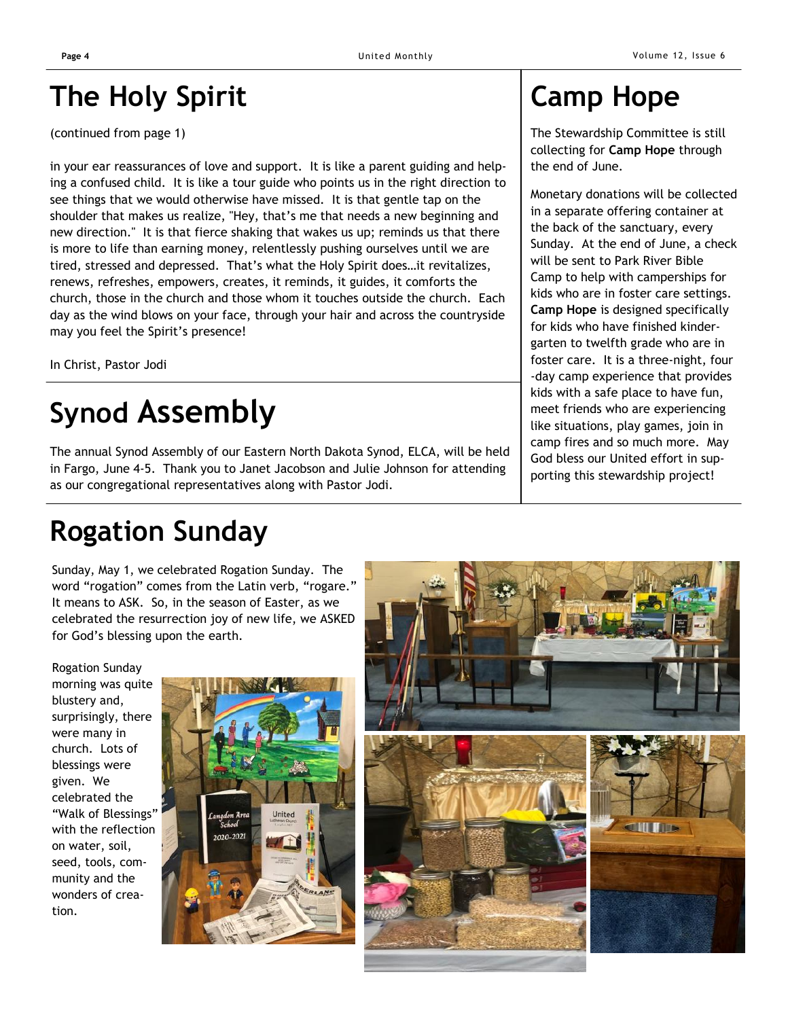## **The Holy Spirit**

(continued from page 1)

in your ear reassurances of love and support. It is like a parent guiding and helping a confused child. It is like a tour guide who points us in the right direction to see things that we would otherwise have missed. It is that gentle tap on the shoulder that makes us realize, "Hey, that's me that needs a new beginning and new direction." It is that fierce shaking that wakes us up; reminds us that there is more to life than earning money, relentlessly pushing ourselves until we are tired, stressed and depressed. That's what the Holy Spirit does…it revitalizes, renews, refreshes, empowers, creates, it reminds, it guides, it comforts the church, those in the church and those whom it touches outside the church. Each day as the wind blows on your face, through your hair and across the countryside may you feel the Spirit's presence!

In Christ, Pastor Jodi

## **Synod Assembly**

The annual Synod Assembly of our Eastern North Dakota Synod, ELCA, will be held in Fargo, June 4-5. Thank you to Janet Jacobson and Julie Johnson for attending as our congregational representatives along with Pastor Jodi.

## **Rogation Sunday**

Sunday, May 1, we celebrated Rogation Sunday. The word "rogation" comes from the Latin verb, "rogare." It means to ASK. So, in the season of Easter, as we celebrated the resurrection joy of new life, we ASKED for God's blessing upon the earth.

Rogation Sunday morning was quite blustery and, surprisingly, there were many in church. Lots of blessings were given. We celebrated the "Walk of Blessings" with the reflection on water, soil, seed, tools, community and the wonders of creation.





## **Camp Hope**

The Stewardship Committee is still collecting for **Camp Hope** through the end of June.

Monetary donations will be collected in a separate offering container at the back of the sanctuary, every Sunday. At the end of June, a check will be sent to Park River Bible Camp to help with camperships for kids who are in foster care settings. **Camp Hope** is designed specifically for kids who have finished kindergarten to twelfth grade who are in foster care. It is a three-night, four -day camp experience that provides kids with a safe place to have fun, meet friends who are experiencing like situations, play games, join in camp fires and so much more. May God bless our United effort in supporting this stewardship project!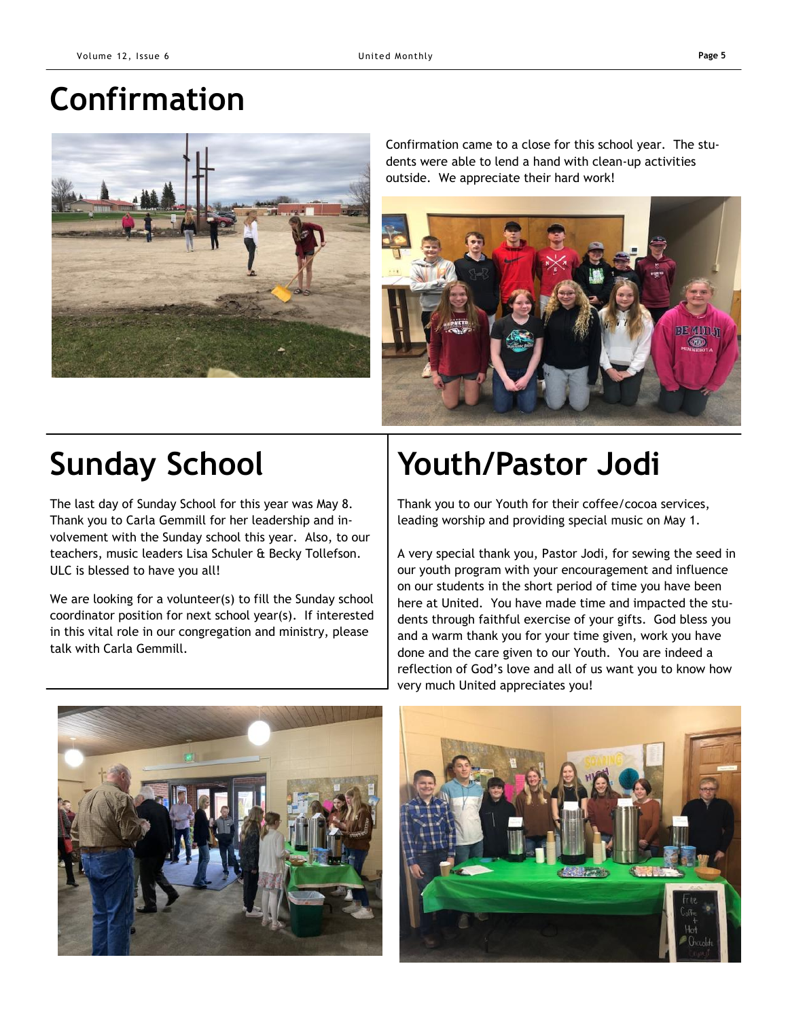## **Confirmation**



Confirmation came to a close for this school year. The students were able to lend a hand with clean-up activities outside. We appreciate their hard work!



The last day of Sunday School for this year was May 8. Thank you to Carla Gemmill for her leadership and involvement with the Sunday school this year. Also, to our teachers, music leaders Lisa Schuler & Becky Tollefson. ULC is blessed to have you all!

We are looking for a volunteer(s) to fill the Sunday school coordinator position for next school year(s). If interested in this vital role in our congregation and ministry, please talk with Carla Gemmill.

## **Sunday School Youth/Pastor Jodi**

Thank you to our Youth for their coffee/cocoa services, leading worship and providing special music on May 1.

A very special thank you, Pastor Jodi, for sewing the seed in our youth program with your encouragement and influence on our students in the short period of time you have been here at United. You have made time and impacted the students through faithful exercise of your gifts. God bless you and a warm thank you for your time given, work you have done and the care given to our Youth. You are indeed a reflection of God's love and all of us want you to know how very much United appreciates you!



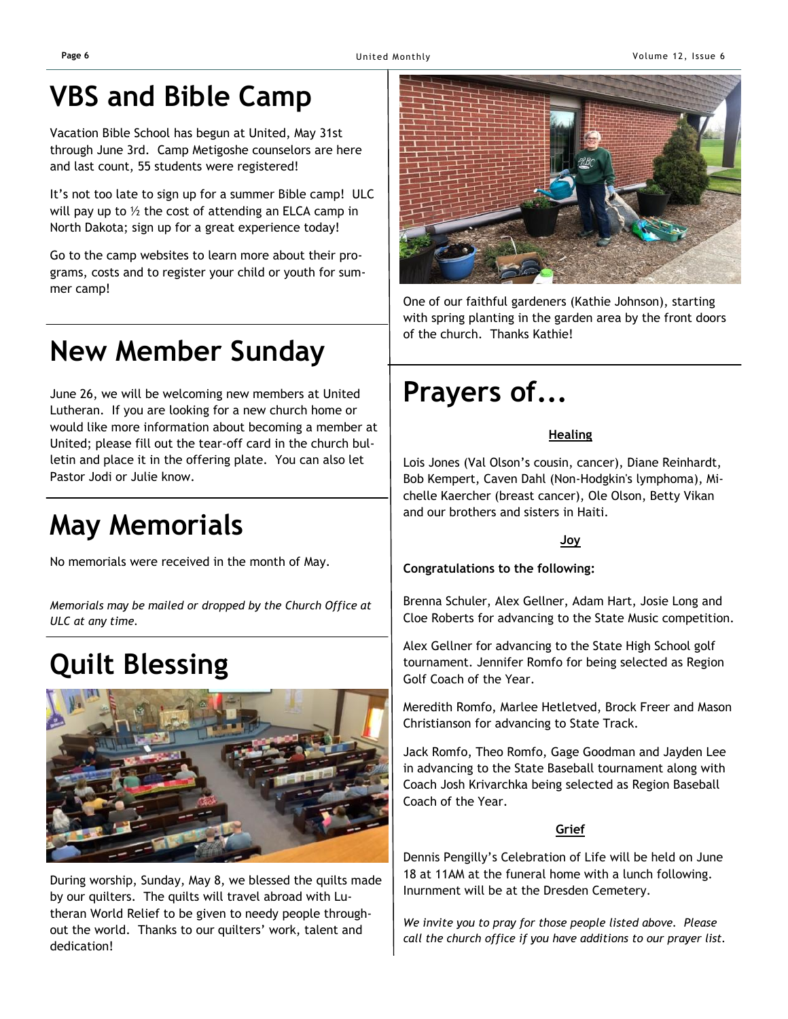## **VBS and Bible Camp**

Vacation Bible School has begun at United, May 31st through June 3rd. Camp Metigoshe counselors are here and last count, 55 students were registered!

It's not too late to sign up for a summer Bible camp! ULC will pay up to  $\frac{1}{2}$  the cost of attending an ELCA camp in North Dakota; sign up for a great experience today!

Go to the camp websites to learn more about their programs, costs and to register your child or youth for summer camp!

## **New Member Sunday**

June 26, we will be welcoming new members at United Lutheran. If you are looking for a new church home or would like more information about becoming a member at United; please fill out the tear-off card in the church bulletin and place it in the offering plate. You can also let Pastor Jodi or Julie know.

## **May Memorials**

No memorials were received in the month of May.

*Memorials may be mailed or dropped by the Church Office at ULC at any time.*

## **Quilt Blessing**



During worship, Sunday, May 8, we blessed the quilts made by our quilters. The quilts will travel abroad with Lutheran World Relief to be given to needy people throughout the world. Thanks to our quilters' work, talent and dedication!



One of our faithful gardeners (Kathie Johnson), starting with spring planting in the garden area by the front doors of the church. Thanks Kathie!

## **Prayers of...**

#### **Healing**

Lois Jones (Val Olson's cousin, cancer), Diane Reinhardt, Bob Kempert, Caven Dahl (Non-Hodgkin's lymphoma), Michelle Kaercher (breast cancer), Ole Olson, Betty Vikan and our brothers and sisters in Haiti.

#### **Joy**

**Congratulations to the following:**

Brenna Schuler, Alex Gellner, Adam Hart, Josie Long and Cloe Roberts for advancing to the State Music competition.

Alex Gellner for advancing to the State High School golf tournament. Jennifer Romfo for being selected as Region Golf Coach of the Year.

Meredith Romfo, Marlee Hetletved, Brock Freer and Mason Christianson for advancing to State Track.

Jack Romfo, Theo Romfo, Gage Goodman and Jayden Lee in advancing to the State Baseball tournament along with Coach Josh Krivarchka being selected as Region Baseball Coach of the Year.

#### **Grief**

Dennis Pengilly's Celebration of Life will be held on June 18 at 11AM at the funeral home with a lunch following. Inurnment will be at the Dresden Cemetery.

*We invite you to pray for those people listed above. Please call the church office if you have additions to our prayer list.*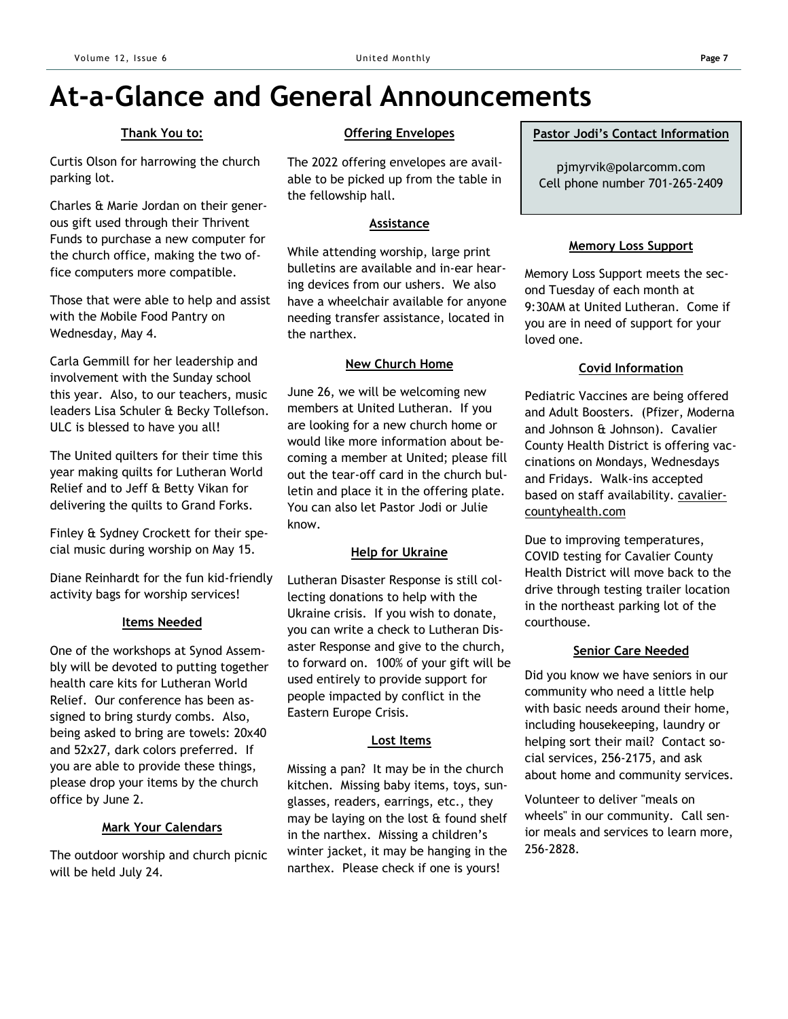## **At-a-Glance and General Announcements**

#### **Thank You to:**

Curtis Olson for harrowing the church parking lot.

Charles & Marie Jordan on their generous gift used through their Thrivent Funds to purchase a new computer for the church office, making the two office computers more compatible.

Those that were able to help and assist with the Mobile Food Pantry on Wednesday, May 4.

Carla Gemmill for her leadership and involvement with the Sunday school this year. Also, to our teachers, music leaders Lisa Schuler & Becky Tollefson. ULC is blessed to have you all!

The United quilters for their time this year making quilts for Lutheran World Relief and to Jeff & Betty Vikan for delivering the quilts to Grand Forks.

Finley & Sydney Crockett for their special music during worship on May 15.

Diane Reinhardt for the fun kid-friendly activity bags for worship services!

#### **Items Needed**

One of the workshops at Synod Assembly will be devoted to putting together health care kits for Lutheran World Relief. Our conference has been assigned to bring sturdy combs. Also, being asked to bring are towels: 20x40 and 52x27, dark colors preferred. If you are able to provide these things, please drop your items by the church office by June 2.

#### **Mark Your Calendars**

The outdoor worship and church picnic will be held July 24.

#### **Offering Envelopes**

The 2022 offering envelopes are available to be picked up from the table in the fellowship hall.

#### **Assistance**

While attending worship, large print bulletins are available and in-ear hearing devices from our ushers. We also have a wheelchair available for anyone needing transfer assistance, located in the narthex.

#### **New Church Home**

June 26, we will be welcoming new members at United Lutheran. If you are looking for a new church home or would like more information about becoming a member at United; please fill out the tear-off card in the church bulletin and place it in the offering plate. You can also let Pastor Jodi or Julie know.

#### **Help for Ukraine**

Lutheran Disaster Response is still collecting donations to help with the Ukraine crisis. If you wish to donate, you can write a check to Lutheran Disaster Response and give to the church, to forward on. 100% of your gift will be used entirely to provide support for people impacted by conflict in the Eastern Europe Crisis.

#### **Lost Items**

Missing a pan? It may be in the church kitchen. Missing baby items, toys, sunglasses, readers, earrings, etc., they may be laying on the lost  $\alpha$  found shelf in the narthex. Missing a children's winter jacket, it may be hanging in the narthex. Please check if one is yours!

#### **Pastor Jodi's Contact Information**

pjmyrvik@polarcomm.com Cell phone number 701-265-2409

#### **Memory Loss Support**

Memory Loss Support meets the second Tuesday of each month at 9:30AM at United Lutheran. Come if you are in need of support for your loved one.

#### **Covid Information**

Pediatric Vaccines are being offered and Adult Boosters. (Pfizer, Moderna and Johnson & Johnson). Cavalier County Health District is offering vaccinations on Mondays, Wednesdays and Fridays. Walk-ins accepted based on staff availability. cavaliercountyhealth.com

Due to improving temperatures, COVID testing for Cavalier County Health District will move back to the drive through testing trailer location in the northeast parking lot of the courthouse.

#### **Senior Care Needed**

Did you know we have seniors in our community who need a little help with basic needs around their home, including housekeeping, laundry or helping sort their mail? Contact social services, 256-2175, and ask about home and community services.

Volunteer to deliver "meals on wheels" in our community. Call senior meals and services to learn more, 256-2828.